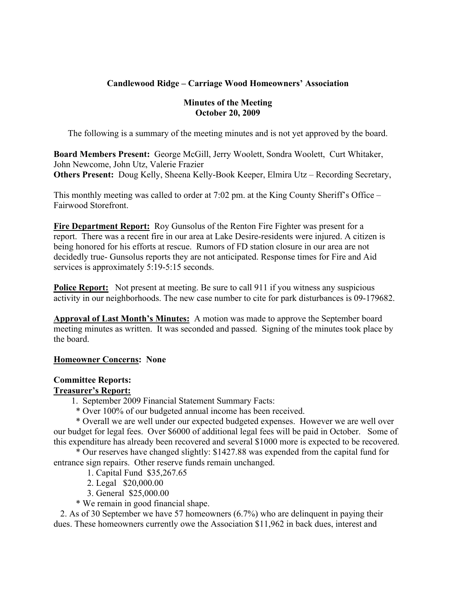# **Candlewood Ridge – Carriage Wood Homeowners' Association**

## **Minutes of the Meeting October 20, 2009**

The following is a summary of the meeting minutes and is not yet approved by the board.

**Board Members Present:** George McGill, Jerry Woolett, Sondra Woolett, Curt Whitaker, John Newcome, John Utz, Valerie Frazier **Others Present:** Doug Kelly, Sheena Kelly-Book Keeper, Elmira Utz – Recording Secretary,

This monthly meeting was called to order at 7:02 pm. at the King County Sheriff's Office – Fairwood Storefront.

**Fire Department Report:** Roy Gunsolus of the Renton Fire Fighter was present for a report. There was a recent fire in our area at Lake Desire-residents were injured. A citizen is being honored for his efforts at rescue. Rumors of FD station closure in our area are not decidedly true- Gunsolus reports they are not anticipated. Response times for Fire and Aid services is approximately 5:19-5:15 seconds.

**Police Report:** Not present at meeting. Be sure to call 911 if you witness any suspicious activity in our neighborhoods. The new case number to cite for park disturbances is 09-179682.

**Approval of Last Month's Minutes:** A motion was made to approve the September board meeting minutes as written. It was seconded and passed. Signing of the minutes took place by the board.

# **Homeowner Concerns: None**

# **Committee Reports:**

# **Treasurer's Report:**

1. September 2009 Financial Statement Summary Facts:

\* Over 100% of our budgeted annual income has been received.

 \* Overall we are well under our expected budgeted expenses. However we are well over our budget for legal fees. Over \$6000 of additional legal fees will be paid in October. Some of this expenditure has already been recovered and several \$1000 more is expected to be recovered.

 \* Our reserves have changed slightly: \$1427.88 was expended from the capital fund for entrance sign repairs. Other reserve funds remain unchanged.

1. Capital Fund \$35,267.65

- 2. Legal \$20,000.00
- 3. General \$25,000.00
- \* We remain in good financial shape.

 2. As of 30 September we have 57 homeowners (6.7%) who are delinquent in paying their dues. These homeowners currently owe the Association \$11,962 in back dues, interest and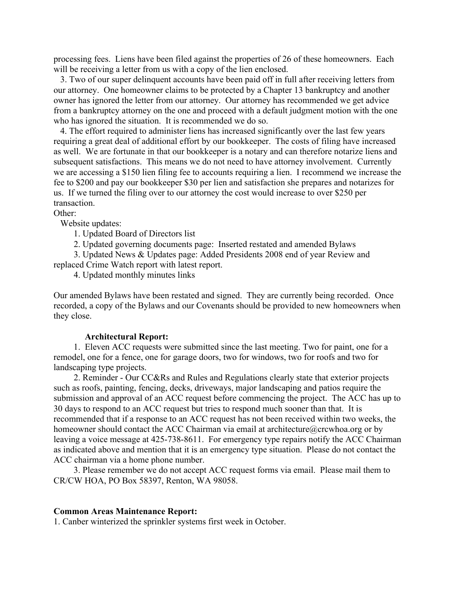processing fees. Liens have been filed against the properties of 26 of these homeowners. Each will be receiving a letter from us with a copy of the lien enclosed.

 3. Two of our super delinquent accounts have been paid off in full after receiving letters from our attorney. One homeowner claims to be protected by a Chapter 13 bankruptcy and another owner has ignored the letter from our attorney. Our attorney has recommended we get advice from a bankruptcy attorney on the one and proceed with a default judgment motion with the one who has ignored the situation. It is recommended we do so.

 4. The effort required to administer liens has increased significantly over the last few years requiring a great deal of additional effort by our bookkeeper. The costs of filing have increased as well. We are fortunate in that our bookkeeper is a notary and can therefore notarize liens and subsequent satisfactions. This means we do not need to have attorney involvement. Currently we are accessing a \$150 lien filing fee to accounts requiring a lien. I recommend we increase the fee to \$200 and pay our bookkeeper \$30 per lien and satisfaction she prepares and notarizes for us. If we turned the filing over to our attorney the cost would increase to over \$250 per transaction.

Other:

Website updates:

1. Updated Board of Directors list

2. Updated governing documents page: Inserted restated and amended Bylaws

 3. Updated News & Updates page: Added Presidents 2008 end of year Review and replaced Crime Watch report with latest report.

4. Updated monthly minutes links

Our amended Bylaws have been restated and signed. They are currently being recorded. Once recorded, a copy of the Bylaws and our Covenants should be provided to new homeowners when they close.

#### **Architectural Report:**

 1. Eleven ACC requests were submitted since the last meeting. Two for paint, one for a remodel, one for a fence, one for garage doors, two for windows, two for roofs and two for landscaping type projects.

 2. Reminder - Our CC&Rs and Rules and Regulations clearly state that exterior projects such as roofs, painting, fencing, decks, driveways, major landscaping and patios require the submission and approval of an ACC request before commencing the project. The ACC has up to 30 days to respond to an ACC request but tries to respond much sooner than that. It is recommended that if a response to an ACC request has not been received within two weeks, the homeowner should contact the ACC Chairman via email at architecture@crcwhoa.org or by leaving a voice message at 425-738-8611. For emergency type repairs notify the ACC Chairman as indicated above and mention that it is an emergency type situation. Please do not contact the ACC chairman via a home phone number.

 3. Please remember we do not accept ACC request forms via email. Please mail them to CR/CW HOA, PO Box 58397, Renton, WA 98058.

#### **Common Areas Maintenance Report:**

1. Canber winterized the sprinkler systems first week in October.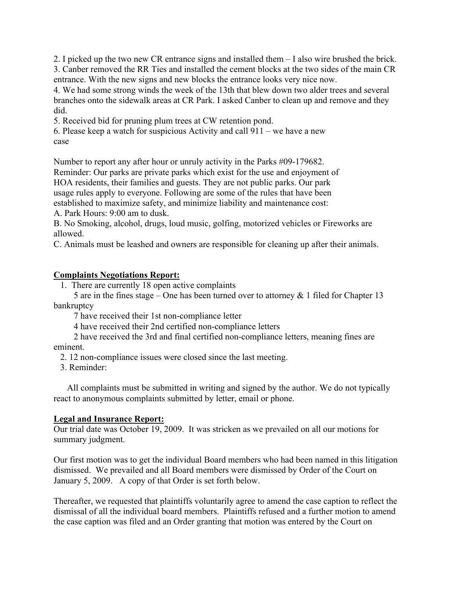2. I picked up the two new CR entrance signs and installed them – I also wire brushed the brick. 3. Canber removed the RR Ties and installed the cement blocks at the two sides of the main CR entrance. With the new signs and new blocks the entrance looks very nice now.

4. We had some strong winds the week of the 13th that blew down two alder trees and several branches onto the sidewalk areas at CR Park. I asked Canber to clean up and remove and they did.

5. Received bid for pruning plum trees at CW retention pond.

6. Please keep a watch for suspicious Activity and call 911 – we have a new case

Number to report any after hour or unruly activity in the Parks #09-179682.

Reminder: Our parks are private parks which exist for the use and enjoyment of

HOA residents, their families and guests. They are not public parks. Our park

usage rules apply to everyone. Following are some of the rules that have been

established to maximize safety, and minimize liability and maintenance cost:

A. Park Hours: 9:00 am to dusk.

B. No Smoking, alcohol, drugs, loud music, golfing, motorized vehicles or Fireworks are allowed.

C. Animals must be leashed and owners are responsible for cleaning up after their animals.

# **Complaints Negotiations Report:**

1. There are currently 18 open active complaints

 5 are in the fines stage – One has been turned over to attorney & 1 filed for Chapter 13 bankruptcy

7 have received their 1st non-compliance letter

4 have received their 2nd certified non-compliance letters

 2 have received the 3rd and final certified non-compliance letters, meaning fines are eminent.

2. 12 non-compliance issues were closed since the last meeting.

3. Reminder:

 All complaints must be submitted in writing and signed by the author. We do not typically react to anonymous complaints submitted by letter, email or phone.

# **Legal and Insurance Report:**

Our trial date was October 19, 2009. It was stricken as we prevailed on all our motions for summary judgment.

Our first motion was to get the individual Board members who had been named in this litigation dismissed. We prevailed and all Board members were dismissed by Order of the Court on January 5, 2009. A copy of that Order is set forth below.

Thereafter, we requested that plaintiffs voluntarily agree to amend the case caption to reflect the dismissal of all the individual board members. Plaintiffs refused and a further motion to amend the case caption was filed and an Order granting that motion was entered by the Court on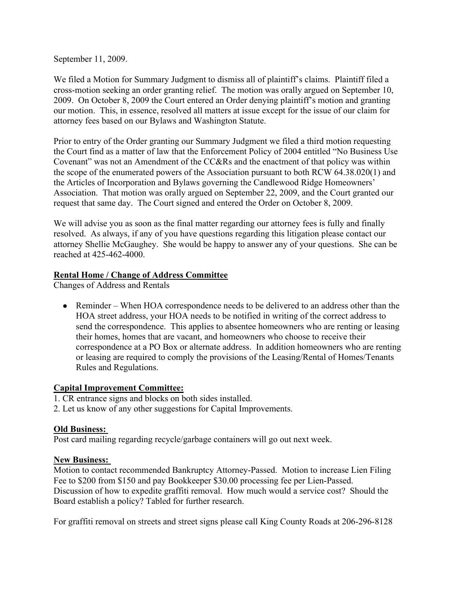September 11, 2009.

We filed a Motion for Summary Judgment to dismiss all of plaintiff's claims. Plaintiff filed a cross-motion seeking an order granting relief. The motion was orally argued on September 10, 2009. On October 8, 2009 the Court entered an Order denying plaintiff's motion and granting our motion. This, in essence, resolved all matters at issue except for the issue of our claim for attorney fees based on our Bylaws and Washington Statute.

Prior to entry of the Order granting our Summary Judgment we filed a third motion requesting the Court find as a matter of law that the Enforcement Policy of 2004 entitled "No Business Use Covenant" was not an Amendment of the CC&Rs and the enactment of that policy was within the scope of the enumerated powers of the Association pursuant to both RCW 64.38.020(1) and the Articles of Incorporation and Bylaws governing the Candlewood Ridge Homeowners' Association. That motion was orally argued on September 22, 2009, and the Court granted our request that same day. The Court signed and entered the Order on October 8, 2009.

We will advise you as soon as the final matter regarding our attorney fees is fully and finally resolved. As always, if any of you have questions regarding this litigation please contact our attorney Shellie McGaughey. She would be happy to answer any of your questions. She can be reached at 425-462-4000.

## **Rental Home / Change of Address Committee**

Changes of Address and Rentals

• Reminder – When HOA correspondence needs to be delivered to an address other than the HOA street address, your HOA needs to be notified in writing of the correct address to send the correspondence. This applies to absentee homeowners who are renting or leasing their homes, homes that are vacant, and homeowners who choose to receive their correspondence at a PO Box or alternate address. In addition homeowners who are renting or leasing are required to comply the provisions of the Leasing/Rental of Homes/Tenants Rules and Regulations.

#### **Capital Improvement Committee:**

- 1. CR entrance signs and blocks on both sides installed.
- 2. Let us know of any other suggestions for Capital Improvements.

#### **Old Business:**

Post card mailing regarding recycle/garbage containers will go out next week.

#### **New Business:**

Motion to contact recommended Bankruptcy Attorney-Passed. Motion to increase Lien Filing Fee to \$200 from \$150 and pay Bookkeeper \$30.00 processing fee per Lien-Passed. Discussion of how to expedite graffiti removal. How much would a service cost? Should the Board establish a policy? Tabled for further research.

For graffiti removal on streets and street signs please call King County Roads at 206-296-8128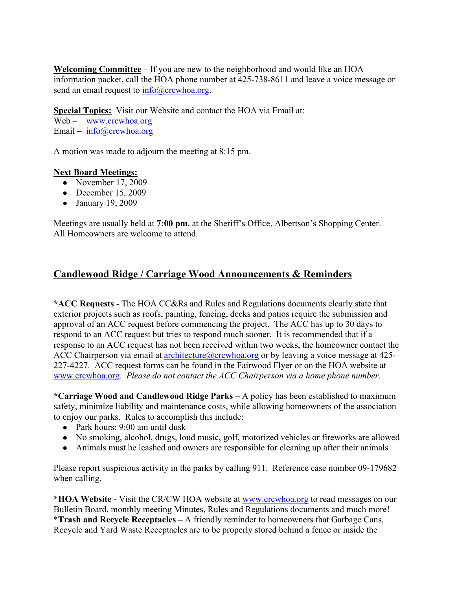**Welcoming Committee** – If you are new to the neighborhood and would like an HOA information packet, call the HOA phone number at 425-738-8611 and leave a voice message or send an email request to  $info@crcwhoa.org$ .

**Special Topics:** Visit our Website and contact the HOA via Email at: Web – www.crcwhoa.org Email –  $info@crcwhoa.org$ 

A motion was made to adjourn the meeting at 8:15 pm.

## **Next Board Meetings:**

- November  $17, 2009$
- December 15, 2009
- January 19, 2009

Meetings are usually held at **7:00 pm.** at the Sheriff's Office, Albertson's Shopping Center. All Homeowners are welcome to attend.

# **Candlewood Ridge / Carriage Wood Announcements & Reminders**

**\*ACC Requests** - The HOA CC&Rs and Rules and Regulations documents clearly state that exterior projects such as roofs, painting, fencing, decks and patios require the submission and approval of an ACC request before commencing the project. The ACC has up to 30 days to respond to an ACC request but tries to respond much sooner. It is recommended that if a response to an ACC request has not been received within two weeks, the homeowner contact the ACC Chairperson via email at architecture  $@crcwhoa.org$  or by leaving a voice message at 425-227-4227. ACC request forms can be found in the Fairwood Flyer or on the HOA website at www.crcwhoa.org. *Please do not contact the ACC Chairperson via a home phone number.*

**\*Carriage Wood and Candlewood Ridge Parks** – A policy has been established to maximum safety, minimize liability and maintenance costs, while allowing homeowners of the association to enjoy our parks. Rules to accomplish this include:

- Park hours: 9:00 am until dusk
- No smoking, alcohol, drugs, loud music, golf, motorized vehicles or fireworks are allowed
- Animals must be leashed and owners are responsible for cleaning up after their animals

Please report suspicious activity in the parks by calling 911. Reference case number 09-179682 when calling.

\***HOA Website -** Visit the CR/CW HOA website at www.crcwhoa.org to read messages on our Bulletin Board, monthly meeting Minutes, Rules and Regulations documents and much more! \***Trash and Recycle Receptacles –** A friendly reminder to homeowners that Garbage Cans, Recycle and Yard Waste Receptacles are to be properly stored behind a fence or inside the